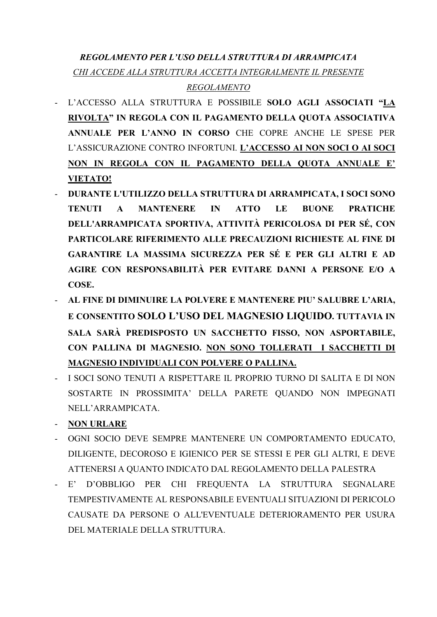## *REGOLAMENTO PER L'USO DELLA STRUTTURA DI ARRAMPICATA CHI ACCEDE ALLA STRUTTURA ACCETTA INTEGRALMENTE IL PRESENTE REGOLAMENTO*

- L'ACCESSO ALLA STRUTTURA E POSSIBILE SOLO AGLI ASSOCIATI "LA RIVOLTA" IN REGOLA CON IL PAGAMENTO DELLA QUOTA ASSOCIATIVA ANNUALE PER L'ANNO IN CORSO CHE COPRE ANCHE LE SPESE PER L'ASSICURAZIONE CONTRO INFORTUNI. L'ACCESSO AI NON SOCI O AI SOCI NON IN REGOLA CON IL PAGAMENTO DELLA QUOTA ANNUALE E' VIETATO!
- DURANTE L'UTILIZZO DELLA STRUTTURA DI ARRAMPICATA, I SOCI SONO TENUTI A MANTENERE IN ATTO LE BUONE PRATICHE DELL'ARRAMPICATA SPORTIVA, ATTIVITÀ PERICOLOSA DI PER SÉ, CON PARTICOLARE RIFERIMENTO ALLE PRECAUZIONI RICHIESTE AL FINE DI GARANTIRE LA MASSIMA SICUREZZA PER SÉ E PER GLI ALTRI E AD AGIRE CON RESPONSABILITÀ PER EVITARE DANNI A PERSONE E/O A COSE.
- AL FINE DI DIMINUIRE LA POLVERE E MANTENERE PIU' SALUBRE L'ARIA, E CONSENTITO SOLO L'USO DEL MAGNESIO LIQUIDO. TUTTAVIA IN SALA SARÀ PREDISPOSTO UN SACCHETTO FISSO, NON ASPORTABILE, CON PALLINA DI MAGNESIO. NON SONO TOLLERATI I SACCHETTI DI MAGNESIO INDIVIDUALI CON POLVERE O PALLINA.
- I SOCI SONO TENUTI A RISPETTARE IL PROPRIO TURNO DI SALITA E DI NON SOSTARTE IN PROSSIMITA' DELLA PARETE QUANDO NON IMPEGNATI NELL'ARRAMPICATA.

- NON URLARE

- OGNI SOCIO DEVE SEMPRE MANTENERE UN COMPORTAMENTO EDUCATO, DILIGENTE, DECOROSO E IGIENICO PER SE STESSI E PER GLI ALTRI, E DEVE ATTENERSI A QUANTO INDICATO DAL REGOLAMENTO DELLA PALESTRA
- E' D'OBBLIGO PER CHI FREQUENTA LA STRUTTURA SEGNALARE TEMPESTIVAMENTE AL RESPONSABILE EVENTUALI SITUAZIONI DI PERICOLO CAUSATE DA PERSONE O ALL'EVENTUALE DETERIORAMENTO PER USURA DEL MATERIALE DELLA STRUTTURA.